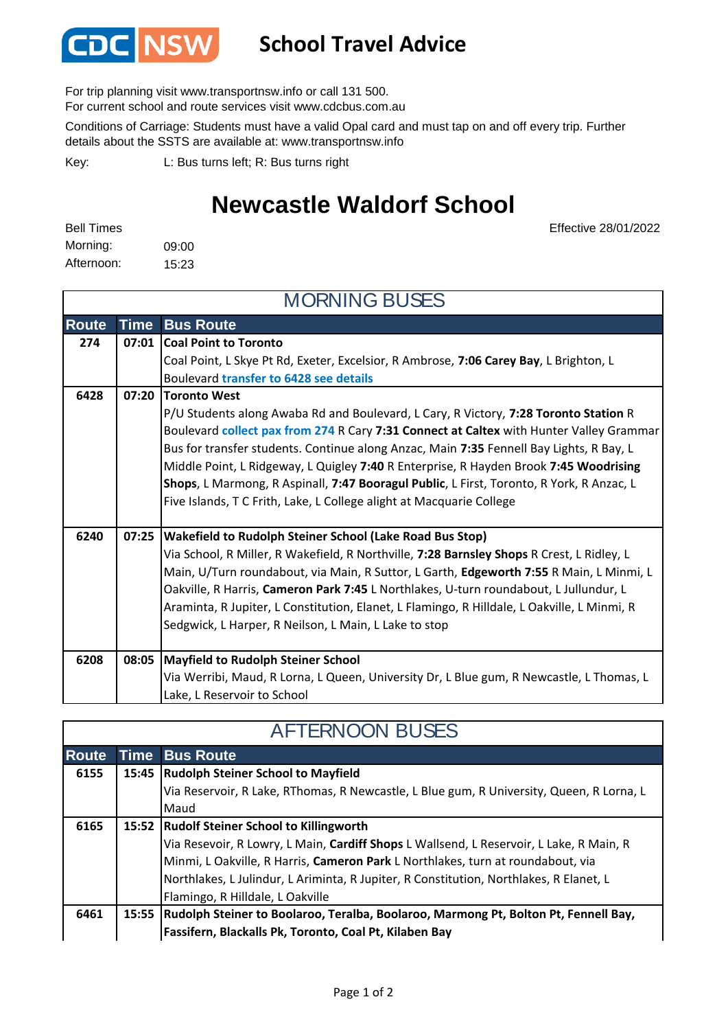

## **School Travel Advice**

For trip planning visit www.transportnsw.info or call 131 500.

For current school and route services visit www.cdcbus.com.au

Conditions of Carriage: Students must have a valid Opal card and must tap on and off every trip. Further details about the SSTS are available at: www.transportnsw.info

L: Bus turns left; R: Bus turns right Key:

## **Newcastle Waldorf School**

09:00 15:23 Morning: Afternoon: Bell Times

Effective 28/01/2022

| <b>MORNING BUSES</b> |             |                                                                                             |  |  |
|----------------------|-------------|---------------------------------------------------------------------------------------------|--|--|
| <b>Route</b>         | <b>Time</b> | <b>Bus Route</b>                                                                            |  |  |
| 274                  | 07:01       | <b>Coal Point to Toronto</b>                                                                |  |  |
|                      |             | Coal Point, L Skye Pt Rd, Exeter, Excelsior, R Ambrose, 7:06 Carey Bay, L Brighton, L       |  |  |
|                      |             | Boulevard transfer to 6428 see details                                                      |  |  |
| 6428                 | 07:20       | <b>Toronto West</b>                                                                         |  |  |
|                      |             | P/U Students along Awaba Rd and Boulevard, L Cary, R Victory, 7:28 Toronto Station R        |  |  |
|                      |             | Boulevard collect pax from 274 R Cary 7:31 Connect at Caltex with Hunter Valley Grammar     |  |  |
|                      |             | Bus for transfer students. Continue along Anzac, Main 7:35 Fennell Bay Lights, R Bay, L     |  |  |
|                      |             | Middle Point, L Ridgeway, L Quigley 7:40 R Enterprise, R Hayden Brook 7:45 Woodrising       |  |  |
|                      |             | Shops, L Marmong, R Aspinall, 7:47 Booragul Public, L First, Toronto, R York, R Anzac, L    |  |  |
|                      |             | Five Islands, T C Frith, Lake, L College alight at Macquarie College                        |  |  |
|                      |             |                                                                                             |  |  |
| 6240                 | 07:25       | Wakefield to Rudolph Steiner School (Lake Road Bus Stop)                                    |  |  |
|                      |             | Via School, R Miller, R Wakefield, R Northville, 7:28 Barnsley Shops R Crest, L Ridley, L   |  |  |
|                      |             | Main, U/Turn roundabout, via Main, R Suttor, L Garth, Edgeworth 7:55 R Main, L Minmi, L     |  |  |
|                      |             | Oakville, R Harris, Cameron Park 7:45 L Northlakes, U-turn roundabout, L Jullundur, L       |  |  |
|                      |             | Araminta, R Jupiter, L Constitution, Elanet, L Flamingo, R Hilldale, L Oakville, L Minmi, R |  |  |
|                      |             | Sedgwick, L Harper, R Neilson, L Main, L Lake to stop                                       |  |  |
|                      |             |                                                                                             |  |  |
| 6208                 | 08:05       | <b>Mayfield to Rudolph Steiner School</b>                                                   |  |  |
|                      |             | Via Werribi, Maud, R Lorna, L Queen, University Dr, L Blue gum, R Newcastle, L Thomas, L    |  |  |
|                      |             | Lake, L Reservoir to School                                                                 |  |  |

| <b>AFTERNOON BUSES</b> |  |                                                                                           |  |  |
|------------------------|--|-------------------------------------------------------------------------------------------|--|--|
| Route                  |  | <b>Time Bus Route</b>                                                                     |  |  |
| 6155                   |  | 15:45   Rudolph Steiner School to Mayfield                                                |  |  |
|                        |  | Via Reservoir, R Lake, RThomas, R Newcastle, L Blue gum, R University, Queen, R Lorna, L  |  |  |
|                        |  | Maud                                                                                      |  |  |
| 6165                   |  | 15:52 Rudolf Steiner School to Killingworth                                               |  |  |
|                        |  | Via Resevoir, R Lowry, L Main, Cardiff Shops L Wallsend, L Reservoir, L Lake, R Main, R   |  |  |
|                        |  | Minmi, L Oakville, R Harris, Cameron Park L Northlakes, turn at roundabout, via           |  |  |
|                        |  | Northlakes, L Julindur, L Ariminta, R Jupiter, R Constitution, Northlakes, R Elanet, L    |  |  |
|                        |  | Flamingo, R Hilldale, L Oakville                                                          |  |  |
| 6461                   |  | 15:55 Rudolph Steiner to Boolaroo, Teralba, Boolaroo, Marmong Pt, Bolton Pt, Fennell Bay, |  |  |
|                        |  | Fassifern, Blackalls Pk, Toronto, Coal Pt, Kilaben Bay                                    |  |  |